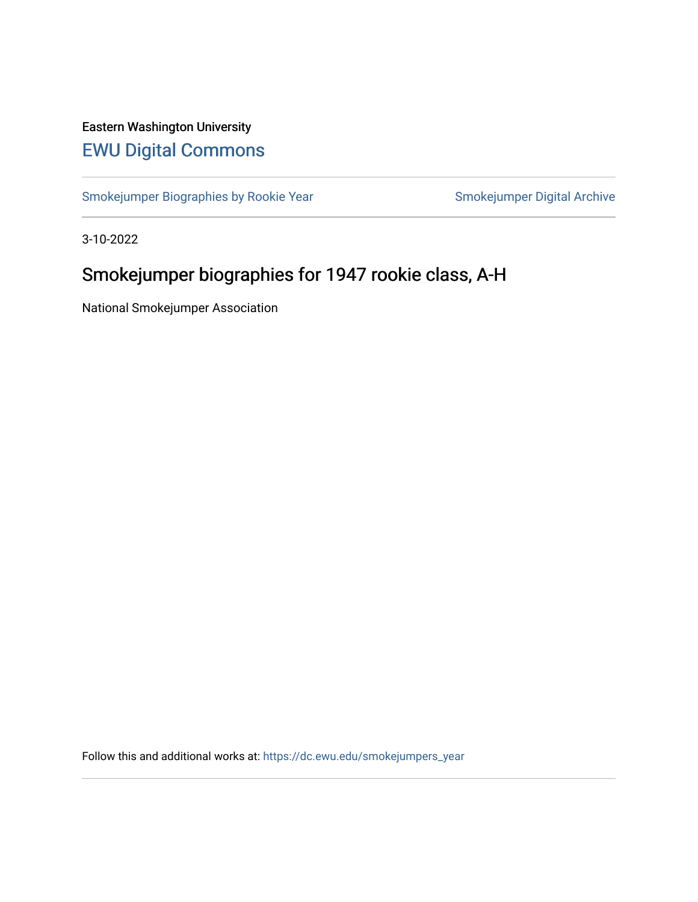# Eastern Washington University [EWU Digital Commons](https://dc.ewu.edu/)

[Smokejumper Biographies by Rookie Year](https://dc.ewu.edu/smokejumpers_year) Smokejumper Digital Archive

3-10-2022

# Smokejumper biographies for 1947 rookie class, A-H

National Smokejumper Association

Follow this and additional works at: [https://dc.ewu.edu/smokejumpers\\_year](https://dc.ewu.edu/smokejumpers_year?utm_source=dc.ewu.edu%2Fsmokejumpers_year%2F16&utm_medium=PDF&utm_campaign=PDFCoverPages)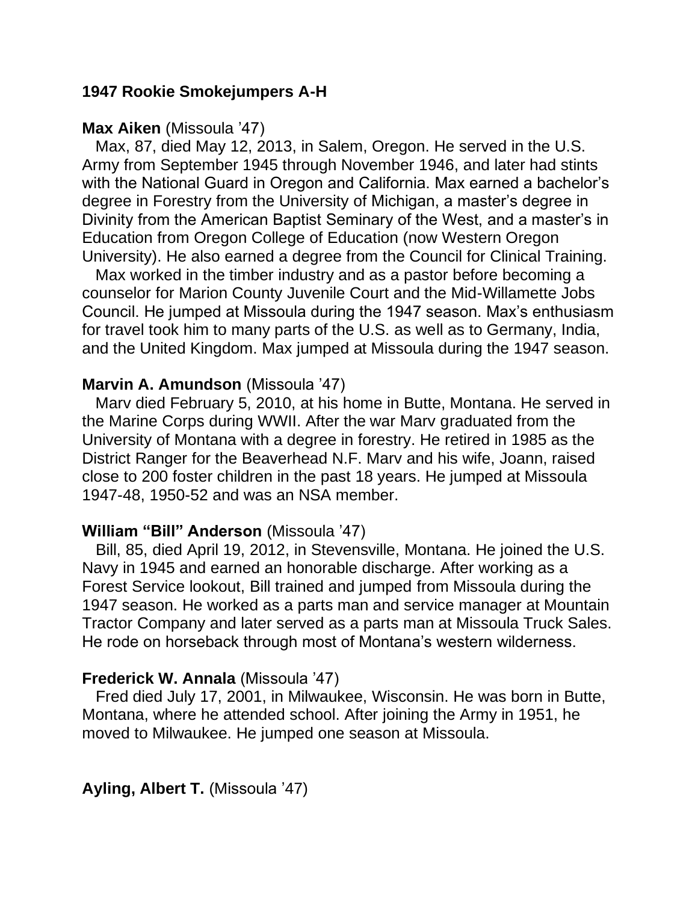## **1947 Rookie Smokejumpers A-H**

#### **Max Aiken** (Missoula '47)

 Max, 87, died May 12, 2013, in Salem, Oregon. He served in the U.S. Army from September 1945 through November 1946, and later had stints with the National Guard in Oregon and California. Max earned a bachelor's degree in Forestry from the University of Michigan, a master's degree in Divinity from the American Baptist Seminary of the West, and a master's in Education from Oregon College of Education (now Western Oregon University). He also earned a degree from the Council for Clinical Training.

 Max worked in the timber industry and as a pastor before becoming a counselor for Marion County Juvenile Court and the Mid-Willamette Jobs Council. He jumped at Missoula during the 1947 season. Max's enthusiasm for travel took him to many parts of the U.S. as well as to Germany, India, and the United Kingdom. Max jumped at Missoula during the 1947 season.

#### **Marvin A. Amundson** (Missoula '47)

 Marv died February 5, 2010, at his home in Butte, Montana. He served in the Marine Corps during WWII. After the war Marv graduated from the University of Montana with a degree in forestry. He retired in 1985 as the District Ranger for the Beaverhead N.F. Marv and his wife, Joann, raised close to 200 foster children in the past 18 years. He jumped at Missoula 1947-48, 1950-52 and was an NSA member.

#### **William "Bill" Anderson** (Missoula '47)

 Bill, 85, died April 19, 2012, in Stevensville, Montana. He joined the U.S. Navy in 1945 and earned an honorable discharge. After working as a Forest Service lookout, Bill trained and jumped from Missoula during the 1947 season. He worked as a parts man and service manager at Mountain Tractor Company and later served as a parts man at Missoula Truck Sales. He rode on horseback through most of Montana's western wilderness.

#### **Frederick W. Annala** (Missoula '47)

 Fred died July 17, 2001, in Milwaukee, Wisconsin. He was born in Butte, Montana, where he attended school. After joining the Army in 1951, he moved to Milwaukee. He jumped one season at Missoula.

**Ayling, Albert T.** (Missoula '47)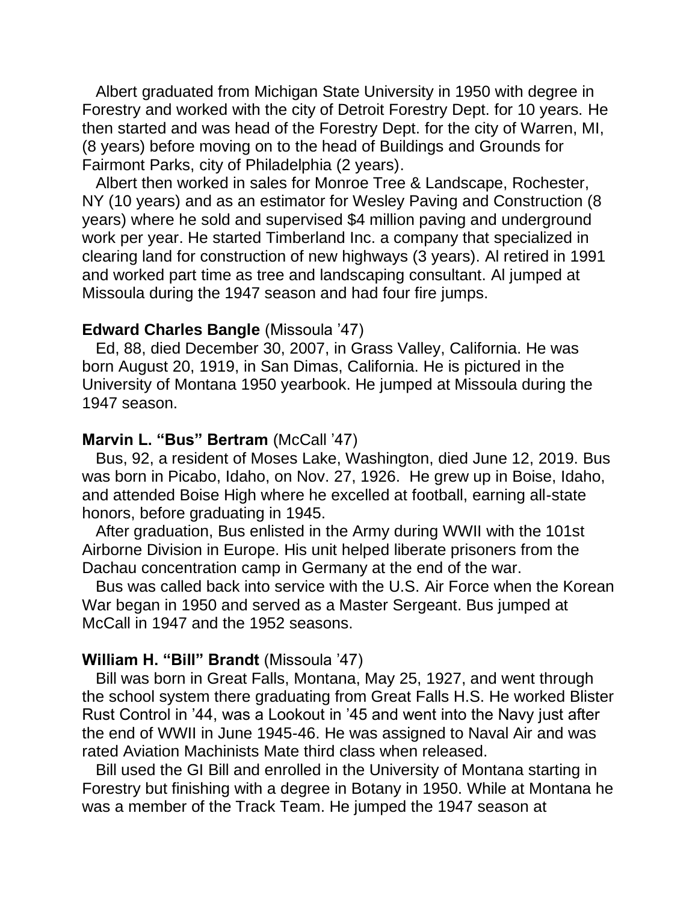Albert graduated from Michigan State University in 1950 with degree in Forestry and worked with the city of Detroit Forestry Dept. for 10 years. He then started and was head of the Forestry Dept. for the city of Warren, MI, (8 years) before moving on to the head of Buildings and Grounds for Fairmont Parks, city of Philadelphia (2 years).

 Albert then worked in sales for Monroe Tree & Landscape, Rochester, NY (10 years) and as an estimator for Wesley Paving and Construction (8 years) where he sold and supervised \$4 million paving and underground work per year. He started Timberland Inc. a company that specialized in clearing land for construction of new highways (3 years). Al retired in 1991 and worked part time as tree and landscaping consultant. Al jumped at Missoula during the 1947 season and had four fire jumps.

### **Edward Charles Bangle** (Missoula '47)

 Ed, 88, died December 30, 2007, in Grass Valley, California. He was born August 20, 1919, in San Dimas, California. He is pictured in the University of Montana 1950 yearbook. He jumped at Missoula during the 1947 season.

#### **Marvin L. "Bus" Bertram (McCall '47)**

 Bus, 92, a resident of Moses Lake, Washington, died June 12, 2019. Bus was born in Picabo, Idaho, on Nov. 27, 1926. He grew up in Boise, Idaho, and attended Boise High where he excelled at football, earning all-state honors, before graduating in 1945.

 After graduation, Bus enlisted in the Army during WWII with the 101st Airborne Division in Europe. His unit helped liberate prisoners from the Dachau concentration camp in Germany at the end of the war.

 Bus was called back into service with the U.S. Air Force when the Korean War began in 1950 and served as a Master Sergeant. Bus jumped at McCall in 1947 and the 1952 seasons.

## **William H. "Bill" Brandt** (Missoula '47)

 Bill was born in Great Falls, Montana, May 25, 1927, and went through the school system there graduating from Great Falls H.S. He worked Blister Rust Control in '44, was a Lookout in '45 and went into the Navy just after the end of WWII in June 1945-46. He was assigned to Naval Air and was rated Aviation Machinists Mate third class when released.

 Bill used the GI Bill and enrolled in the University of Montana starting in Forestry but finishing with a degree in Botany in 1950. While at Montana he was a member of the Track Team. He jumped the 1947 season at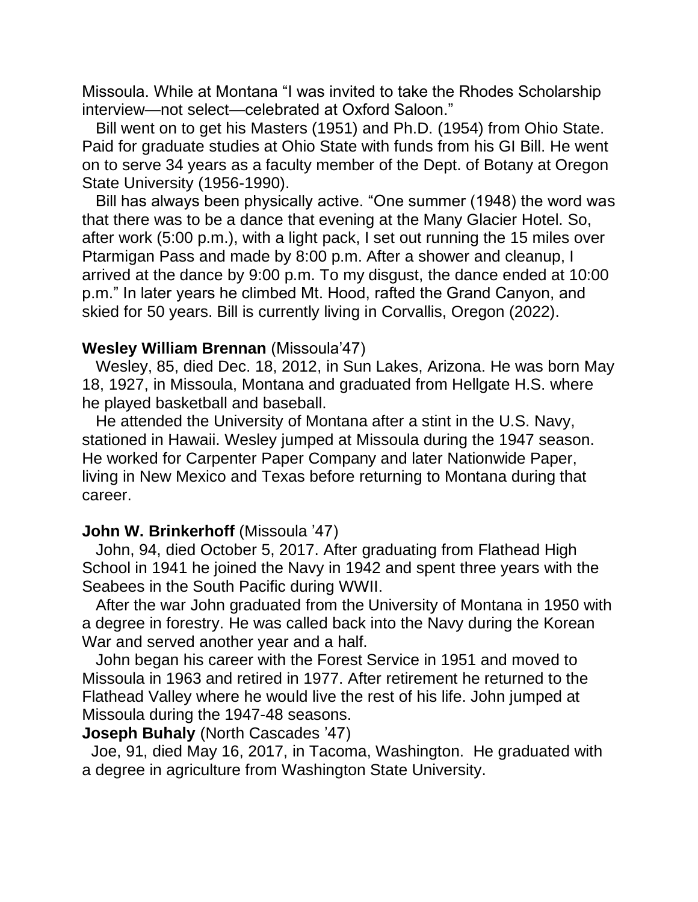Missoula. While at Montana "I was invited to take the Rhodes Scholarship interview—not select—celebrated at Oxford Saloon."

 Bill went on to get his Masters (1951) and Ph.D. (1954) from Ohio State. Paid for graduate studies at Ohio State with funds from his GI Bill. He went on to serve 34 years as a faculty member of the Dept. of Botany at Oregon State University (1956-1990).

 Bill has always been physically active. "One summer (1948) the word was that there was to be a dance that evening at the Many Glacier Hotel. So, after work (5:00 p.m.), with a light pack, I set out running the 15 miles over Ptarmigan Pass and made by 8:00 p.m. After a shower and cleanup, I arrived at the dance by 9:00 p.m. To my disgust, the dance ended at 10:00 p.m." In later years he climbed Mt. Hood, rafted the Grand Canyon, and skied for 50 years. Bill is currently living in Corvallis, Oregon (2022).

## **Wesley William Brennan** (Missoula'47)

 Wesley, 85, died Dec. 18, 2012, in Sun Lakes, Arizona. He was born May 18, 1927, in Missoula, Montana and graduated from Hellgate H.S. where he played basketball and baseball.

 He attended the University of Montana after a stint in the U.S. Navy, stationed in Hawaii. Wesley jumped at Missoula during the 1947 season. He worked for Carpenter Paper Company and later Nationwide Paper, living in New Mexico and Texas before returning to Montana during that career.

## **John W. Brinkerhoff (Missoula '47)**

 John, 94, died October 5, 2017. After graduating from Flathead High School in 1941 he joined the Navy in 1942 and spent three years with the Seabees in the South Pacific during WWII.

 After the war John graduated from the University of Montana in 1950 with a degree in forestry. He was called back into the Navy during the Korean War and served another year and a half.

 John began his career with the Forest Service in 1951 and moved to Missoula in 1963 and retired in 1977. After retirement he returned to the Flathead Valley where he would live the rest of his life. John jumped at Missoula during the 1947-48 seasons.

#### **Joseph Buhaly** (North Cascades '47)

 Joe, 91, died May 16, 2017, in Tacoma, Washington. He graduated with a degree in agriculture from Washington State University.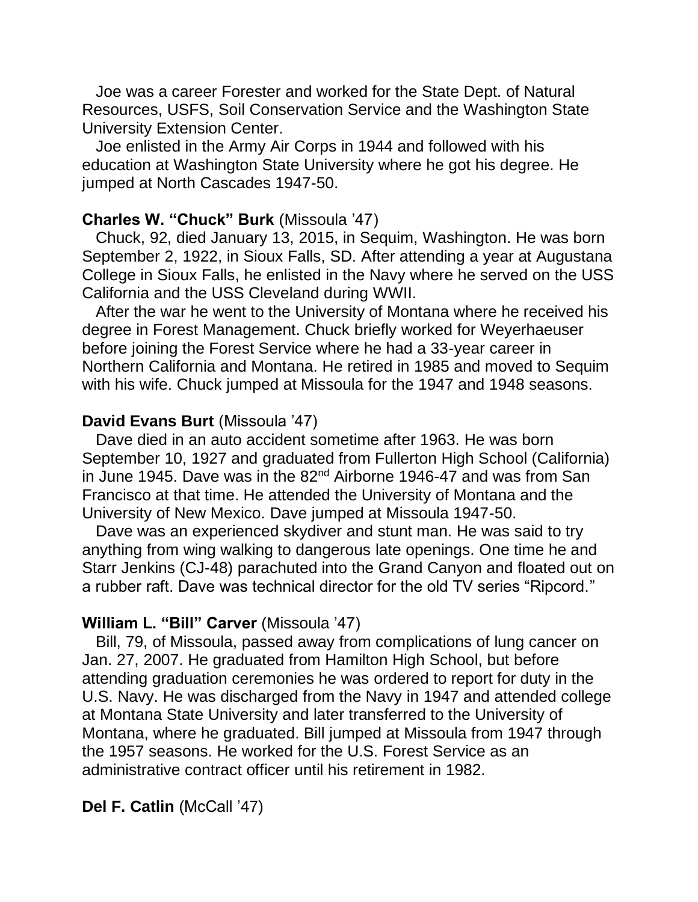Joe was a career Forester and worked for the State Dept. of Natural Resources, USFS, Soil Conservation Service and the Washington State University Extension Center.

 Joe enlisted in the Army Air Corps in 1944 and followed with his education at Washington State University where he got his degree. He jumped at North Cascades 1947-50.

## **Charles W. "Chuck" Burk** (Missoula '47)

 Chuck, 92, died January 13, 2015, in Sequim, Washington. He was born September 2, 1922, in Sioux Falls, SD. After attending a year at Augustana College in Sioux Falls, he enlisted in the Navy where he served on the USS California and the USS Cleveland during WWII.

 After the war he went to the University of Montana where he received his degree in Forest Management. Chuck briefly worked for Weyerhaeuser before joining the Forest Service where he had a 33-year career in Northern California and Montana. He retired in 1985 and moved to Sequim with his wife. Chuck jumped at Missoula for the 1947 and 1948 seasons.

### **David Evans Burt** (Missoula '47)

 Dave died in an auto accident sometime after 1963. He was born September 10, 1927 and graduated from Fullerton High School (California) in June 1945. Dave was in the 82<sup>nd</sup> Airborne 1946-47 and was from San Francisco at that time. He attended the University of Montana and the University of New Mexico. Dave jumped at Missoula 1947-50.

 Dave was an experienced skydiver and stunt man. He was said to try anything from wing walking to dangerous late openings. One time he and Starr Jenkins (CJ-48) parachuted into the Grand Canyon and floated out on a rubber raft. Dave was technical director for the old TV series "Ripcord."

### **William L. "Bill" Carver** (Missoula '47)

 Bill, 79, of Missoula, passed away from complications of lung cancer on Jan. 27, 2007. He graduated from Hamilton High School, but before attending graduation ceremonies he was ordered to report for duty in the U.S. Navy. He was discharged from the Navy in 1947 and attended college at Montana State University and later transferred to the University of Montana, where he graduated. Bill jumped at Missoula from 1947 through the 1957 seasons. He worked for the U.S. Forest Service as an administrative contract officer until his retirement in 1982.

## **Del F. Catlin** (McCall '47)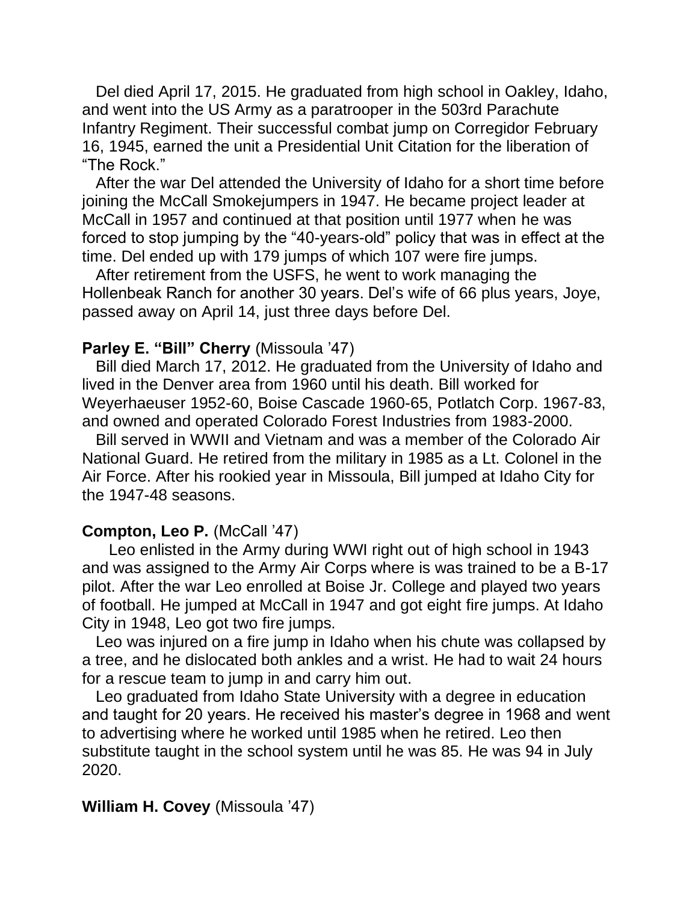Del died April 17, 2015. He graduated from high school in Oakley, Idaho, and went into the US Army as a paratrooper in the 503rd Parachute Infantry Regiment. Their successful combat jump on Corregidor February 16, 1945, earned the unit a Presidential Unit Citation for the liberation of "The Rock."

 After the war Del attended the University of Idaho for a short time before joining the McCall Smokejumpers in 1947. He became project leader at McCall in 1957 and continued at that position until 1977 when he was forced to stop jumping by the "40-years-old" policy that was in effect at the time. Del ended up with 179 jumps of which 107 were fire jumps.

 After retirement from the USFS, he went to work managing the Hollenbeak Ranch for another 30 years. Del's wife of 66 plus years, Joye, passed away on April 14, just three days before Del.

## **Parley E. "Bill" Cherry** (Missoula '47)

 Bill died March 17, 2012. He graduated from the University of Idaho and lived in the Denver area from 1960 until his death. Bill worked for Weyerhaeuser 1952-60, Boise Cascade 1960-65, Potlatch Corp. 1967-83, and owned and operated Colorado Forest Industries from 1983-2000.

 Bill served in WWII and Vietnam and was a member of the Colorado Air National Guard. He retired from the military in 1985 as a Lt. Colonel in the Air Force. After his rookied year in Missoula, Bill jumped at Idaho City for the 1947-48 seasons.

# **Compton, Leo P.** (McCall '47)

 Leo enlisted in the Army during WWI right out of high school in 1943 and was assigned to the Army Air Corps where is was trained to be a B-17 pilot. After the war Leo enrolled at Boise Jr. College and played two years of football. He jumped at McCall in 1947 and got eight fire jumps. At Idaho City in 1948, Leo got two fire jumps.

 Leo was injured on a fire jump in Idaho when his chute was collapsed by a tree, and he dislocated both ankles and a wrist. He had to wait 24 hours for a rescue team to jump in and carry him out.

 Leo graduated from Idaho State University with a degree in education and taught for 20 years. He received his master's degree in 1968 and went to advertising where he worked until 1985 when he retired. Leo then substitute taught in the school system until he was 85. He was 94 in July 2020.

## **William H. Covey** (Missoula '47)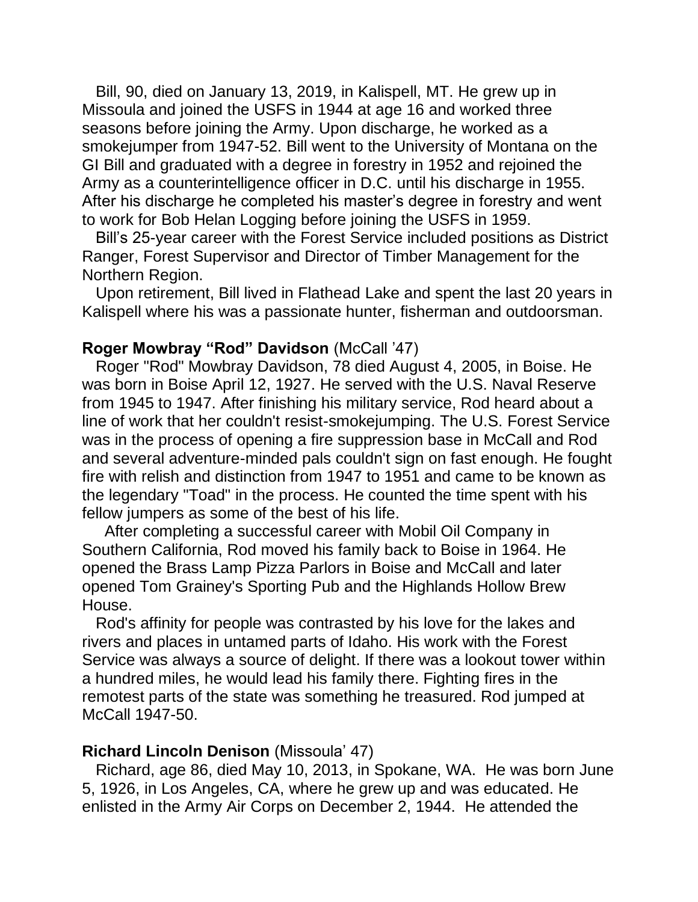Bill, 90, died on January 13, 2019, in Kalispell, MT. He grew up in Missoula and joined the USFS in 1944 at age 16 and worked three seasons before joining the Army. Upon discharge, he worked as a smokejumper from 1947-52. Bill went to the University of Montana on the GI Bill and graduated with a degree in forestry in 1952 and rejoined the Army as a counterintelligence officer in D.C. until his discharge in 1955. After his discharge he completed his master's degree in forestry and went to work for Bob Helan Logging before joining the USFS in 1959.

 Bill's 25-year career with the Forest Service included positions as District Ranger, Forest Supervisor and Director of Timber Management for the Northern Region.

 Upon retirement, Bill lived in Flathead Lake and spent the last 20 years in Kalispell where his was a passionate hunter, fisherman and outdoorsman.

## **Roger Mowbray "Rod" Davidson** (McCall '47)

 Roger "Rod" Mowbray Davidson, 78 died August 4, 2005, in Boise. He was born in Boise April 12, 1927. He served with the U.S. Naval Reserve from 1945 to 1947. After finishing his military service, Rod heard about a line of work that her couldn't resist-smokejumping. The U.S. Forest Service was in the process of opening a fire suppression base in McCall and Rod and several adventure-minded pals couldn't sign on fast enough. He fought fire with relish and distinction from 1947 to 1951 and came to be known as the legendary "Toad" in the process. He counted the time spent with his fellow jumpers as some of the best of his life.

 After completing a successful career with Mobil Oil Company in Southern California, Rod moved his family back to Boise in 1964. He opened the Brass Lamp Pizza Parlors in Boise and McCall and later opened Tom Grainey's Sporting Pub and the Highlands Hollow Brew House.

 Rod's affinity for people was contrasted by his love for the lakes and rivers and places in untamed parts of Idaho. His work with the Forest Service was always a source of delight. If there was a lookout tower within a hundred miles, he would lead his family there. Fighting fires in the remotest parts of the state was something he treasured. Rod jumped at McCall 1947-50.

#### **Richard Lincoln Denison** (Missoula' 47)

 Richard, age 86, died May 10, 2013, in Spokane, WA. He was born June 5, 1926, in Los Angeles, CA, where he grew up and was educated. He enlisted in the Army Air Corps on December 2, 1944. He attended the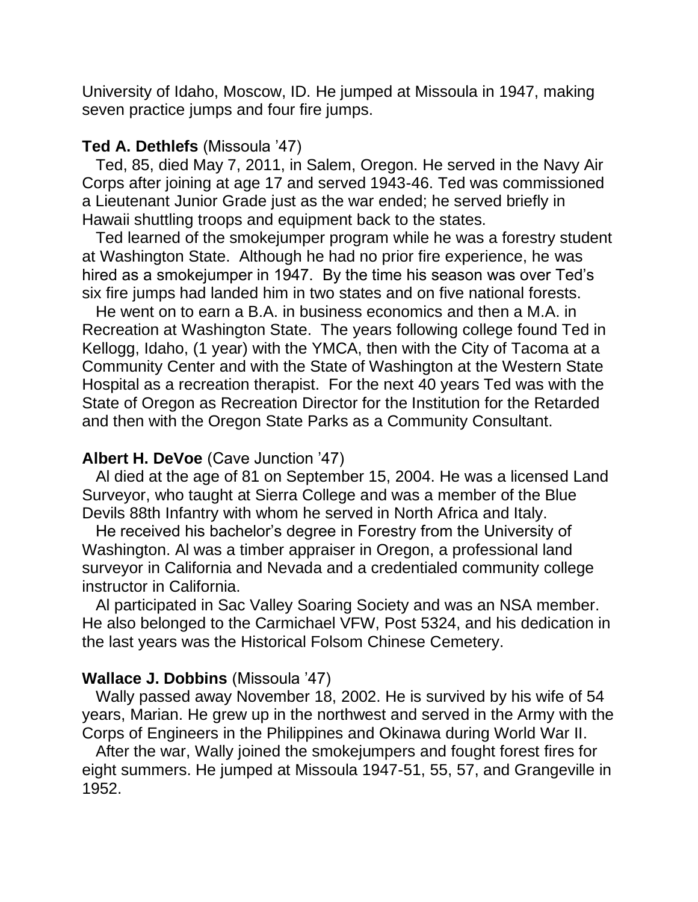University of Idaho, Moscow, ID. He jumped at Missoula in 1947, making seven practice jumps and four fire jumps.

## **Ted A. Dethlefs** (Missoula '47)

 Ted, 85, died May 7, 2011, in Salem, Oregon. He served in the Navy Air Corps after joining at age 17 and served 1943-46. Ted was commissioned a Lieutenant Junior Grade just as the war ended; he served briefly in Hawaii shuttling troops and equipment back to the states.

 Ted learned of the smokejumper program while he was a forestry student at Washington State. Although he had no prior fire experience, he was hired as a smokejumper in 1947. By the time his season was over Ted's six fire jumps had landed him in two states and on five national forests.

 He went on to earn a B.A. in business economics and then a M.A. in Recreation at Washington State. The years following college found Ted in Kellogg, Idaho, (1 year) with the YMCA, then with the City of Tacoma at a Community Center and with the State of Washington at the Western State Hospital as a recreation therapist. For the next 40 years Ted was with the State of Oregon as Recreation Director for the Institution for the Retarded and then with the Oregon State Parks as a Community Consultant.

## **Albert H. DeVoe** (Cave Junction '47)

 Al died at the age of 81 on September 15, 2004. He was a licensed Land Surveyor, who taught at Sierra College and was a member of the Blue Devils 88th Infantry with whom he served in North Africa and Italy.

 He received his bachelor's degree in Forestry from the University of Washington. Al was a timber appraiser in Oregon, a professional land surveyor in California and Nevada and a credentialed community college instructor in California.

 Al participated in Sac Valley Soaring Society and was an NSA member. He also belonged to the Carmichael VFW, Post 5324, and his dedication in the last years was the Historical Folsom Chinese Cemetery.

#### **Wallace J. Dobbins** (Missoula '47)

 Wally passed away November 18, 2002. He is survived by his wife of 54 years, Marian. He grew up in the northwest and served in the Army with the Corps of Engineers in the Philippines and Okinawa during World War II.

 After the war, Wally joined the smokejumpers and fought forest fires for eight summers. He jumped at Missoula 1947-51, 55, 57, and Grangeville in 1952.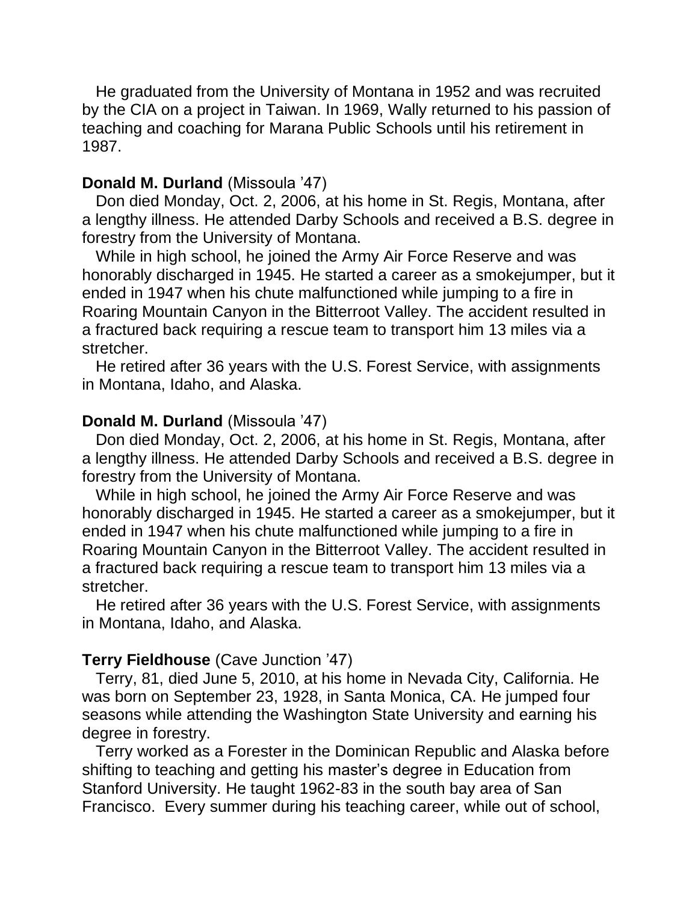He graduated from the University of Montana in 1952 and was recruited by the CIA on a project in Taiwan. In 1969, Wally returned to his passion of teaching and coaching for Marana Public Schools until his retirement in 1987.

#### **Donald M. Durland** (Missoula '47)

 Don died Monday, Oct. 2, 2006, at his home in St. Regis, Montana, after a lengthy illness. He attended Darby Schools and received a B.S. degree in forestry from the University of Montana.

 While in high school, he joined the Army Air Force Reserve and was honorably discharged in 1945. He started a career as a smokejumper, but it ended in 1947 when his chute malfunctioned while jumping to a fire in Roaring Mountain Canyon in the Bitterroot Valley. The accident resulted in a fractured back requiring a rescue team to transport him 13 miles via a stretcher.

 He retired after 36 years with the U.S. Forest Service, with assignments in Montana, Idaho, and Alaska.

#### **Donald M. Durland** (Missoula '47)

 Don died Monday, Oct. 2, 2006, at his home in St. Regis, Montana, after a lengthy illness. He attended Darby Schools and received a B.S. degree in forestry from the University of Montana.

 While in high school, he joined the Army Air Force Reserve and was honorably discharged in 1945. He started a career as a smokejumper, but it ended in 1947 when his chute malfunctioned while jumping to a fire in Roaring Mountain Canyon in the Bitterroot Valley. The accident resulted in a fractured back requiring a rescue team to transport him 13 miles via a stretcher.

 He retired after 36 years with the U.S. Forest Service, with assignments in Montana, Idaho, and Alaska.

#### **Terry Fieldhouse** (Cave Junction '47)

 Terry, 81, died June 5, 2010, at his home in Nevada City, California. He was born on September 23, 1928, in Santa Monica, CA. He jumped four seasons while attending the Washington State University and earning his degree in forestry.

 Terry worked as a Forester in the Dominican Republic and Alaska before shifting to teaching and getting his master's degree in Education from Stanford University. He taught 1962-83 in the south bay area of San Francisco. Every summer during his teaching career, while out of school,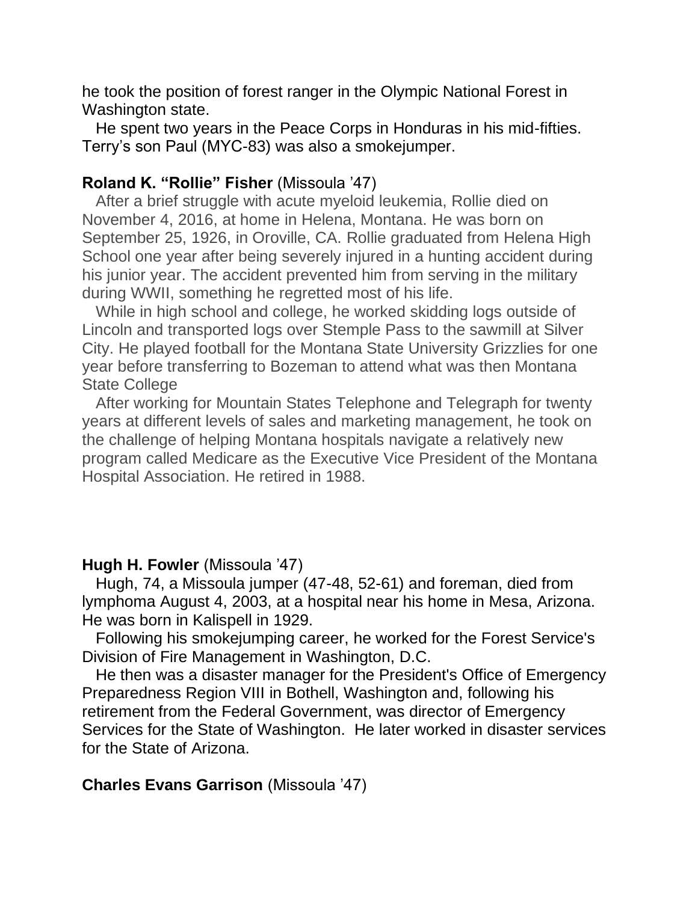he took the position of forest ranger in the Olympic National Forest in Washington state.

 He spent two years in the Peace Corps in Honduras in his mid-fifties. Terry's son Paul (MYC-83) was also a smokejumper.

# **Roland K. "Rollie" Fisher** (Missoula '47)

 After a brief struggle with acute myeloid leukemia, Rollie died on November 4, 2016, at home in Helena, Montana. He was born on September 25, 1926, in Oroville, CA. Rollie graduated from Helena High School one year after being severely injured in a hunting accident during his junior year. The accident prevented him from serving in the military during WWII, something he regretted most of his life.

 While in high school and college, he worked skidding logs outside of Lincoln and transported logs over Stemple Pass to the sawmill at Silver City. He played football for the Montana State University Grizzlies for one year before transferring to Bozeman to attend what was then Montana State College

 After working for Mountain States Telephone and Telegraph for twenty years at different levels of sales and marketing management, he took on the challenge of helping Montana hospitals navigate a relatively new program called Medicare as the Executive Vice President of the Montana Hospital Association. He retired in 1988.

# **Hugh H. Fowler** (Missoula '47)

 Hugh, 74, a Missoula jumper (47-48, 52-61) and foreman, died from lymphoma August 4, 2003, at a hospital near his home in Mesa, Arizona. He was born in Kalispell in 1929.

 Following his smokejumping career, he worked for the Forest Service's Division of Fire Management in Washington, D.C.

 He then was a disaster manager for the President's Office of Emergency Preparedness Region VIII in Bothell, Washington and, following his retirement from the Federal Government, was director of Emergency Services for the State of Washington. He later worked in disaster services for the State of Arizona.

# **Charles Evans Garrison** (Missoula '47)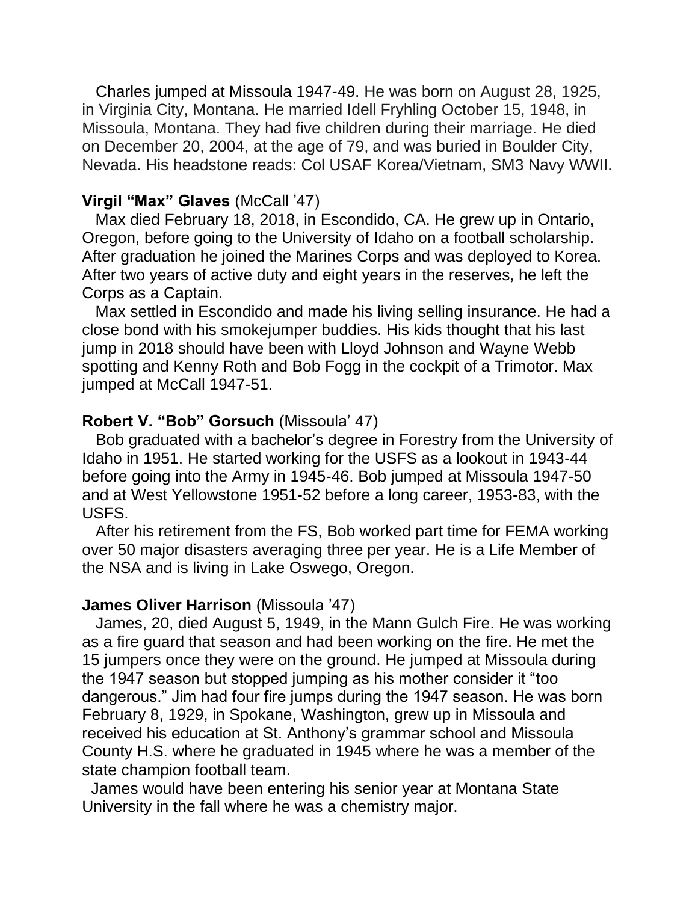Charles jumped at Missoula 1947-49. He was born on August 28, 1925, in Virginia City, Montana. He married Idell Fryhling October 15, 1948, in Missoula, Montana. They had five children during their marriage. He died on December 20, 2004, at the age of 79, and was buried in Boulder City, Nevada. His headstone reads: Col USAF Korea/Vietnam, SM3 Navy WWII.

#### **Virgil "Max" Glaves** (McCall '47)

 Max died February 18, 2018, in Escondido, CA. He grew up in Ontario, Oregon, before going to the University of Idaho on a football scholarship. After graduation he joined the Marines Corps and was deployed to Korea. After two years of active duty and eight years in the reserves, he left the Corps as a Captain.

 Max settled in Escondido and made his living selling insurance. He had a close bond with his smokejumper buddies. His kids thought that his last jump in 2018 should have been with Lloyd Johnson and Wayne Webb spotting and Kenny Roth and Bob Fogg in the cockpit of a Trimotor. Max jumped at McCall 1947-51.

#### **Robert V. "Bob" Gorsuch** (Missoula' 47)

 Bob graduated with a bachelor's degree in Forestry from the University of Idaho in 1951. He started working for the USFS as a lookout in 1943-44 before going into the Army in 1945-46. Bob jumped at Missoula 1947-50 and at West Yellowstone 1951-52 before a long career, 1953-83, with the USFS.

 After his retirement from the FS, Bob worked part time for FEMA working over 50 major disasters averaging three per year. He is a Life Member of the NSA and is living in Lake Oswego, Oregon.

#### **James Oliver Harrison** (Missoula '47)

 James, 20, died August 5, 1949, in the Mann Gulch Fire. He was working as a fire guard that season and had been working on the fire. He met the 15 jumpers once they were on the ground. He jumped at Missoula during the 1947 season but stopped jumping as his mother consider it "too dangerous." Jim had four fire jumps during the 1947 season. He was born February 8, 1929, in Spokane, Washington, grew up in Missoula and received his education at St. Anthony's grammar school and Missoula County H.S. where he graduated in 1945 where he was a member of the state champion football team.

 James would have been entering his senior year at Montana State University in the fall where he was a chemistry major.